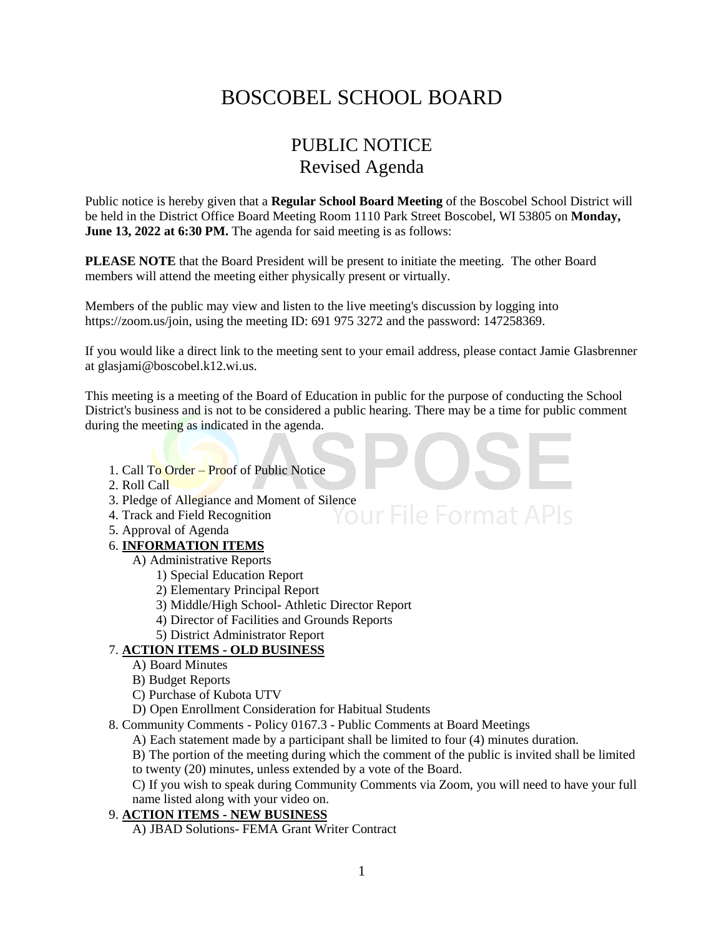# BOSCOBEL SCHOOL BOARD

## PUBLIC NOTICE Revised Agenda

Public notice is hereby given that a **Regular School Board Meeting** of the Boscobel School District will be held in the District Office Board Meeting Room 1110 Park Street Boscobel, WI 53805 on **Monday, June 13, 2022 at 6:30 PM.** The agenda for said meeting is as follows:

**PLEASE NOTE** that the Board President will be present to initiate the meeting. The other Board members will attend the meeting either physically present or virtually.

Members of the public may view and listen to the live meeting's discussion by logging into https://zoom.us/join, using the meeting ID: 691 975 3272 and the password: 147258369.

If you would like a direct link to the meeting sent to your email address, please contact Jamie Glasbrenner at glasjami@boscobel.k12.wi.us.

This meeting is a meeting of the Board of Education in public for the purpose of conducting the School District's business and is not to be considered a public hearing. There may be a time for public comment during the meeting as indicated in the agenda.

- 1. Call To Order Proof of Public Notice
- 2. Roll Call
- 3. Pledge of Allegiance and Moment of Silence<br>4. Track and Field Recognition
- 4. Track and Field Recognition
- 5. Approval of Agenda

#### 6. **INFORMATION ITEMS**

- A) Administrative Reports
	- 1) Special Education Report
	- 2) Elementary Principal Report
	- 3) Middle/High School- Athletic Director Report
	- 4) Director of Facilities and Grounds Reports
	- 5) District Administrator Report

### 7. **ACTION ITEMS - OLD BUSINESS**

- A) Board Minutes
- B) Budget Reports
- C) Purchase of Kubota UTV
- D) Open Enrollment Consideration for Habitual Students
- 8. Community Comments Policy 0167.3 Public Comments at Board Meetings
	- A) Each statement made by a participant shall be limited to four (4) minutes duration.

B) The portion of the meeting during which the comment of the public is invited shall be limited to twenty (20) minutes, unless extended by a vote of the Board.

C) If you wish to speak during Community Comments via Zoom, you will need to have your full name listed along with your video on.

#### 9. **ACTION ITEMS - NEW BUSINESS**

A) JBAD Solutions- FEMA Grant Writer Contract